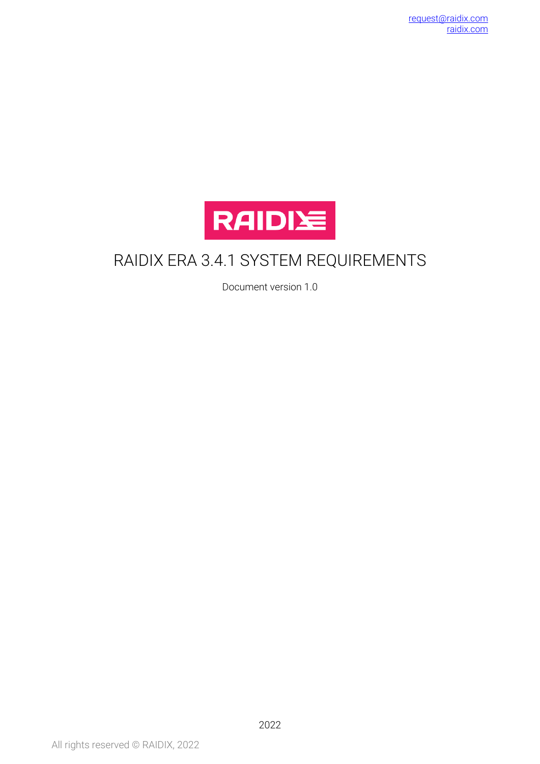

# RAIDIX ERA 3.4.1 SYSTEM REQUIREMENTS

Document version 1.0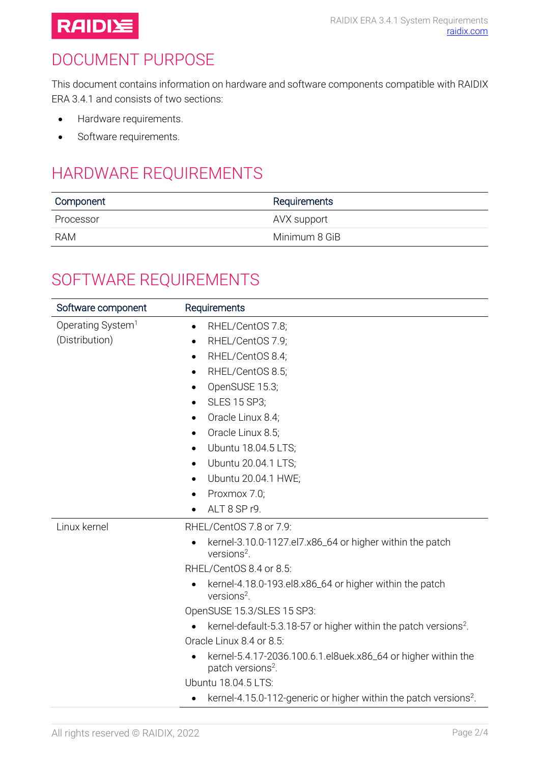

## DOCUMENT PURPOSE

This document contains information on hardware and software components compatible with RAIDIX ERA 3.4.1 and consists of two sections:

- Hardware requirements.
- Software requirements.

# HARDWARE REQUIREMENTS

| Component | Requirements  |
|-----------|---------------|
| Processor | AVX support   |
| RAM       | Minimum 8 GiB |

#### SOFTWARE REQUIREMENTS

<span id="page-1-0"></span>

| Software component            | Requirements                                                                                     |
|-------------------------------|--------------------------------------------------------------------------------------------------|
| Operating System <sup>1</sup> | RHEL/CentOS 7.8;<br>$\bullet$                                                                    |
| (Distribution)                | RHEL/CentOS 7.9;<br>$\bullet$                                                                    |
|                               | RHEL/CentOS 8.4;<br>$\bullet$                                                                    |
|                               | RHEL/CentOS 8.5;<br>$\bullet$                                                                    |
|                               | OpenSUSE 15.3;<br>$\bullet$                                                                      |
|                               | SLES 15 SP3;<br>$\bullet$                                                                        |
|                               | Oracle Linux 8.4;<br>$\bullet$                                                                   |
|                               | Oracle Linux 8.5;<br>$\bullet$                                                                   |
|                               | Ubuntu 18.04.5 LTS;<br>$\bullet$                                                                 |
|                               | Ubuntu 20.04.1 LTS;<br>$\bullet$                                                                 |
|                               | Ubuntu 20.04.1 HWE;<br>$\bullet$                                                                 |
|                               | Proxmox 7.0;<br>$\bullet$                                                                        |
|                               | ALT 8 SP r9.<br>$\bullet$                                                                        |
| Linux kernel                  | RHEL/CentOS 7.8 or 7.9:                                                                          |
|                               | kernel-3.10.0-1127.el7.x86_64 or higher within the patch<br>$\bullet$<br>versions <sup>2</sup> . |
|                               | RHEL/CentOS 8.4 or 8.5:                                                                          |
|                               | kernel-4.18.0-193.el8.x86_64 or higher within the patch<br>versions <sup>2</sup> .               |
|                               | OpenSUSE 15.3/SLES 15 SP3:                                                                       |
|                               | kernel-default-5.3.18-57 or higher within the patch versions <sup>2</sup> .                      |
|                               | Oracle Linux 8.4 or 8.5:                                                                         |
|                               | kernel-5.4.17-2036.100.6.1.el8uek.x86_64 or higher within the<br>patch versions <sup>2</sup> .   |
|                               | Ubuntu 18.04.5 LTS:                                                                              |
|                               | kernel-4.15.0-112-generic or higher within the patch versions <sup>2</sup> .<br>٠                |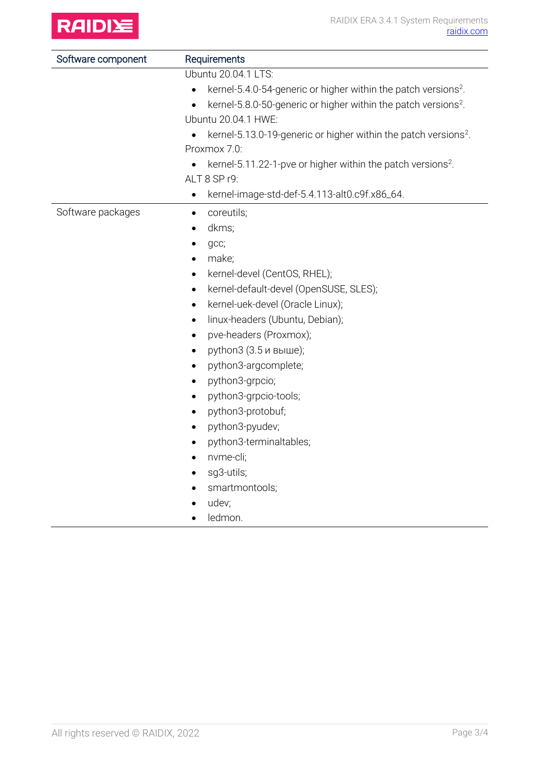

| Software component | Requirements<br>Ubuntu 20.04.1 LTS:                                                     |  |
|--------------------|-----------------------------------------------------------------------------------------|--|
|                    |                                                                                         |  |
|                    | kernel-5.4.0-54-generic or higher within the patch versions <sup>2</sup> .<br>$\bullet$ |  |
|                    | kernel-5.8.0-50-generic or higher within the patch versions <sup>2</sup> .<br>$\bullet$ |  |
|                    | Ubuntu 20.04.1 HWE:                                                                     |  |
|                    | kernel-5.13.0-19-generic or higher within the patch versions <sup>2</sup> .             |  |
|                    | Proxmox 7.0:                                                                            |  |
|                    | kernel-5.11.22-1-pve or higher within the patch versions <sup>2</sup> .                 |  |
|                    | ALT 8 SP r9:                                                                            |  |
|                    | kernel-image-std-def-5.4.113-alt0.c9f.x86_64.<br>$\bullet$                              |  |
| Software packages  | coreutils;<br>٠                                                                         |  |
|                    | dkms;<br>$\bullet$                                                                      |  |
|                    | gcc;<br>٠                                                                               |  |
|                    | make;                                                                                   |  |
|                    | kernel-devel (CentOS, RHEL);<br>$\bullet$                                               |  |
|                    | kernel-default-devel (OpenSUSE, SLES);<br>$\bullet$                                     |  |
|                    | kernel-uek-devel (Oracle Linux);<br>٠                                                   |  |
|                    | linux-headers (Ubuntu, Debian);<br>$\bullet$                                            |  |
|                    | pve-headers (Proxmox);<br>$\bullet$                                                     |  |
|                    | python3 (3.5 и выше);<br>$\bullet$                                                      |  |
|                    | python3-argcomplete;<br>$\bullet$                                                       |  |
|                    | python3-grpcio;<br>$\bullet$                                                            |  |
|                    | python3-grpcio-tools;<br>$\bullet$                                                      |  |
|                    | python3-protobuf;<br>$\bullet$                                                          |  |
|                    | python3-pyudev;<br>$\bullet$                                                            |  |
|                    | python3-terminaltables;<br>$\bullet$                                                    |  |
|                    | nvme-cli;<br>$\bullet$                                                                  |  |
|                    | sg3-utils;                                                                              |  |
|                    | smartmontools;                                                                          |  |
|                    | udev;                                                                                   |  |
|                    | ledmon.                                                                                 |  |